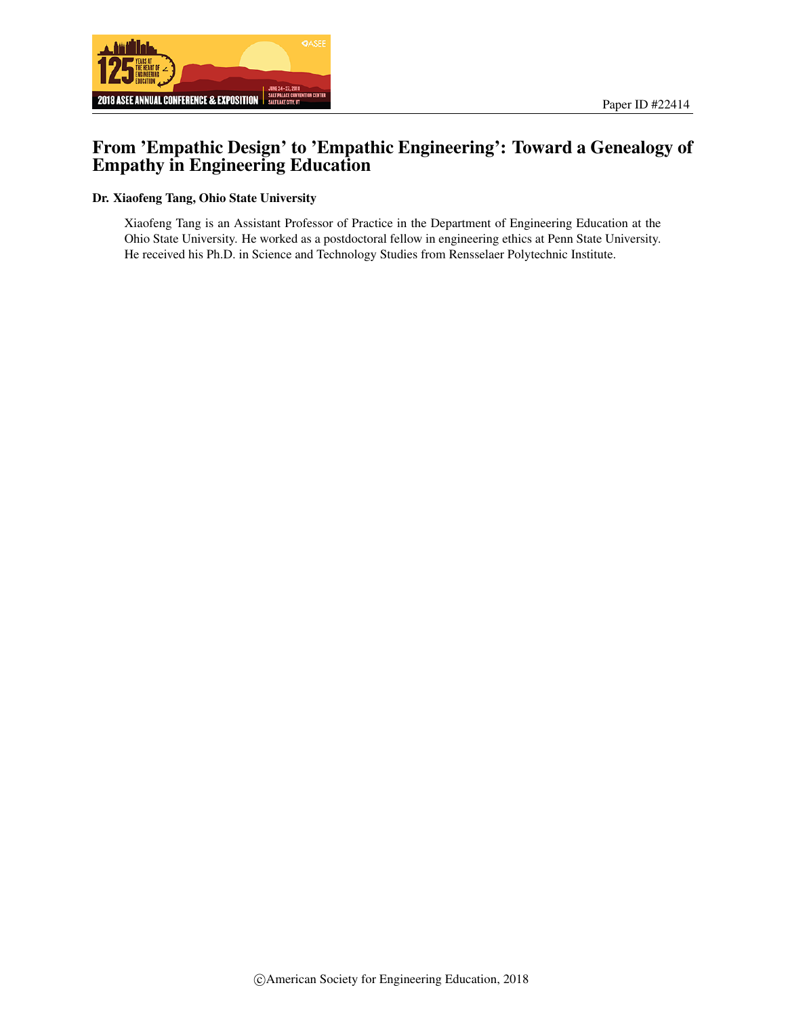



# From 'Empathic Design' to 'Empathic Engineering': Toward a Genealogy of Empathy in Engineering Education

#### Dr. Xiaofeng Tang, Ohio State University

Xiaofeng Tang is an Assistant Professor of Practice in the Department of Engineering Education at the Ohio State University. He worked as a postdoctoral fellow in engineering ethics at Penn State University. He received his Ph.D. in Science and Technology Studies from Rensselaer Polytechnic Institute.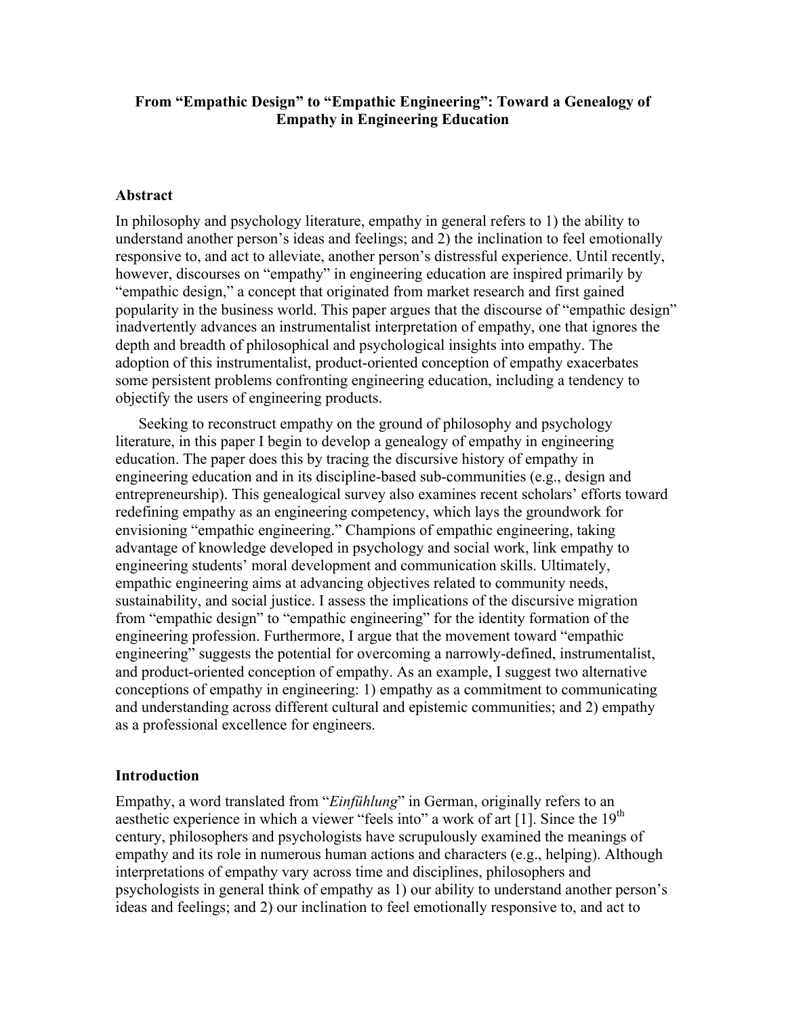# **From "Empathic Design" to "Empathic Engineering": Toward a Genealogy of Empathy in Engineering Education**

### **Abstract**

In philosophy and psychology literature, empathy in general refers to 1) the ability to understand another person's ideas and feelings; and 2) the inclination to feel emotionally responsive to, and act to alleviate, another person's distressful experience. Until recently, however, discourses on "empathy" in engineering education are inspired primarily by "empathic design," a concept that originated from market research and first gained popularity in the business world. This paper argues that the discourse of "empathic design" inadvertently advances an instrumentalist interpretation of empathy, one that ignores the depth and breadth of philosophical and psychological insights into empathy. The adoption of this instrumentalist, product-oriented conception of empathy exacerbates some persistent problems confronting engineering education, including a tendency to objectify the users of engineering products.

Seeking to reconstruct empathy on the ground of philosophy and psychology literature, in this paper I begin to develop a genealogy of empathy in engineering education. The paper does this by tracing the discursive history of empathy in engineering education and in its discipline-based sub-communities (e.g., design and entrepreneurship). This genealogical survey also examines recent scholars' efforts toward redefining empathy as an engineering competency, which lays the groundwork for envisioning "empathic engineering." Champions of empathic engineering, taking advantage of knowledge developed in psychology and social work, link empathy to engineering students' moral development and communication skills. Ultimately, empathic engineering aims at advancing objectives related to community needs, sustainability, and social justice. I assess the implications of the discursive migration from "empathic design" to "empathic engineering" for the identity formation of the engineering profession. Furthermore, I argue that the movement toward "empathic engineering" suggests the potential for overcoming a narrowly-defined, instrumentalist, and product-oriented conception of empathy. As an example, I suggest two alternative conceptions of empathy in engineering: 1) empathy as a commitment to communicating and understanding across different cultural and epistemic communities; and 2) empathy as a professional excellence for engineers.

### **Introduction**

Empathy, a word translated from "*Einfühlung*" in German, originally refers to an aesthetic experience in which a viewer "feels into" a work of art [1]. Since the  $19<sup>th</sup>$ century, philosophers and psychologists have scrupulously examined the meanings of empathy and its role in numerous human actions and characters (e.g., helping). Although interpretations of empathy vary across time and disciplines, philosophers and psychologists in general think of empathy as 1) our ability to understand another person's ideas and feelings; and 2) our inclination to feel emotionally responsive to, and act to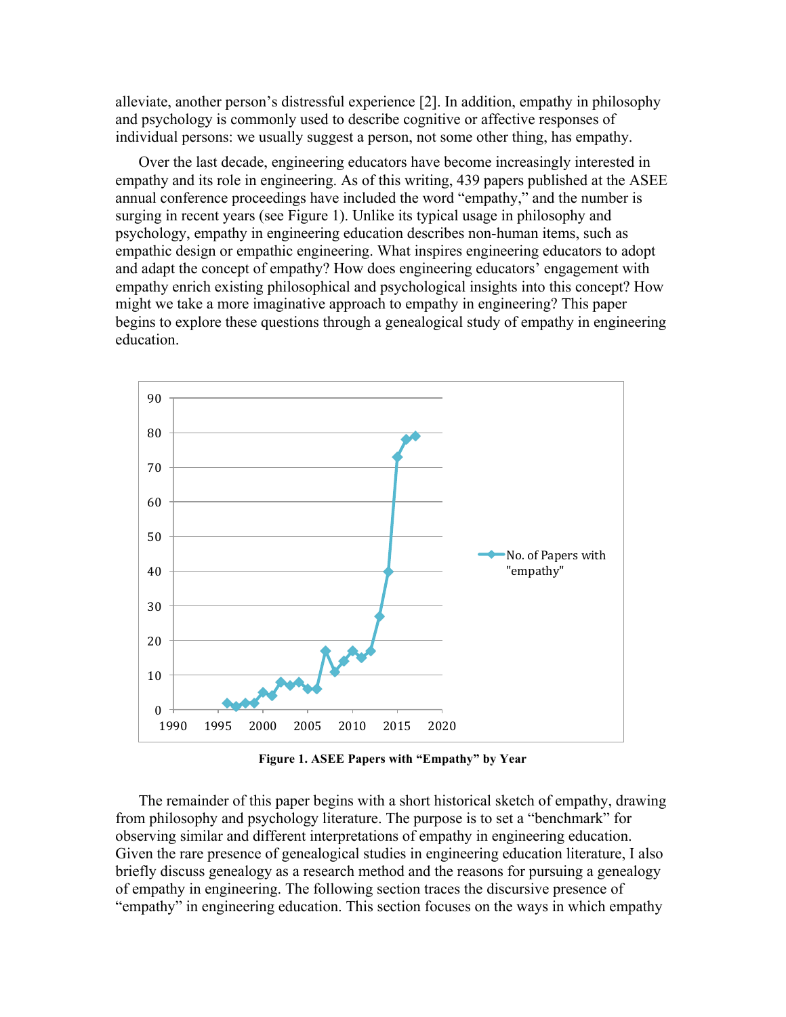alleviate, another person's distressful experience [2]. In addition, empathy in philosophy and psychology is commonly used to describe cognitive or affective responses of individual persons: we usually suggest a person, not some other thing, has empathy.

Over the last decade, engineering educators have become increasingly interested in empathy and its role in engineering. As of this writing, 439 papers published at the ASEE annual conference proceedings have included the word "empathy," and the number is surging in recent years (see Figure 1). Unlike its typical usage in philosophy and psychology, empathy in engineering education describes non-human items, such as empathic design or empathic engineering. What inspires engineering educators to adopt and adapt the concept of empathy? How does engineering educators' engagement with empathy enrich existing philosophical and psychological insights into this concept? How might we take a more imaginative approach to empathy in engineering? This paper begins to explore these questions through a genealogical study of empathy in engineering education.



**Figure 1. ASEE Papers with "Empathy" by Year**

The remainder of this paper begins with a short historical sketch of empathy, drawing from philosophy and psychology literature. The purpose is to set a "benchmark" for observing similar and different interpretations of empathy in engineering education. Given the rare presence of genealogical studies in engineering education literature, I also briefly discuss genealogy as a research method and the reasons for pursuing a genealogy of empathy in engineering. The following section traces the discursive presence of "empathy" in engineering education. This section focuses on the ways in which empathy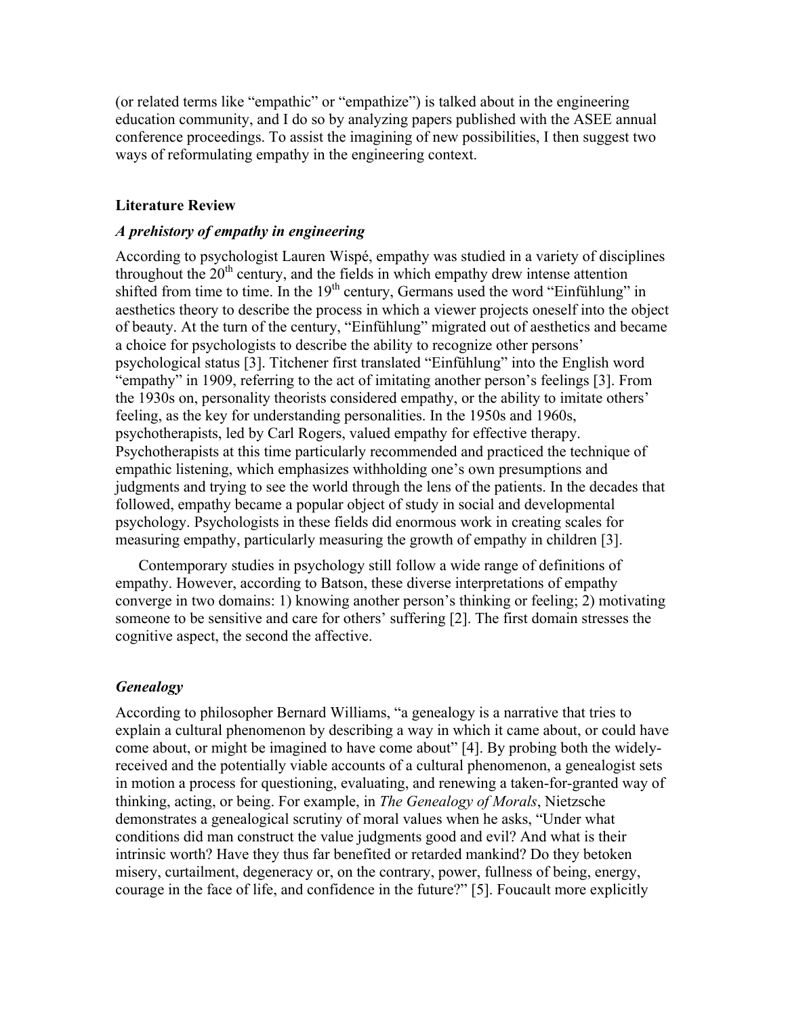(or related terms like "empathic" or "empathize") is talked about in the engineering education community, and I do so by analyzing papers published with the ASEE annual conference proceedings. To assist the imagining of new possibilities, I then suggest two ways of reformulating empathy in the engineering context.

# **Literature Review**

### *A prehistory of empathy in engineering*

According to psychologist Lauren Wispé, empathy was studied in a variety of disciplines throughout the  $20<sup>th</sup>$  century, and the fields in which empathy drew intense attention shifted from time to time. In the  $19<sup>th</sup>$  century, Germans used the word "Einfühlung" in aesthetics theory to describe the process in which a viewer projects oneself into the object of beauty. At the turn of the century, "Einfühlung" migrated out of aesthetics and became a choice for psychologists to describe the ability to recognize other persons' psychological status [3]. Titchener first translated "Einfühlung" into the English word "empathy" in 1909, referring to the act of imitating another person's feelings [3]. From the 1930s on, personality theorists considered empathy, or the ability to imitate others' feeling, as the key for understanding personalities. In the 1950s and 1960s, psychotherapists, led by Carl Rogers, valued empathy for effective therapy. Psychotherapists at this time particularly recommended and practiced the technique of empathic listening, which emphasizes withholding one's own presumptions and judgments and trying to see the world through the lens of the patients. In the decades that followed, empathy became a popular object of study in social and developmental psychology. Psychologists in these fields did enormous work in creating scales for measuring empathy, particularly measuring the growth of empathy in children [3].

Contemporary studies in psychology still follow a wide range of definitions of empathy. However, according to Batson, these diverse interpretations of empathy converge in two domains: 1) knowing another person's thinking or feeling; 2) motivating someone to be sensitive and care for others' suffering [2]. The first domain stresses the cognitive aspect, the second the affective.

# *Genealogy*

According to philosopher Bernard Williams, "a genealogy is a narrative that tries to explain a cultural phenomenon by describing a way in which it came about, or could have come about, or might be imagined to have come about" [4]. By probing both the widelyreceived and the potentially viable accounts of a cultural phenomenon, a genealogist sets in motion a process for questioning, evaluating, and renewing a taken-for-granted way of thinking, acting, or being. For example, in *The Genealogy of Morals*, Nietzsche demonstrates a genealogical scrutiny of moral values when he asks, "Under what conditions did man construct the value judgments good and evil? And what is their intrinsic worth? Have they thus far benefited or retarded mankind? Do they betoken misery, curtailment, degeneracy or, on the contrary, power, fullness of being, energy, courage in the face of life, and confidence in the future?" [5]. Foucault more explicitly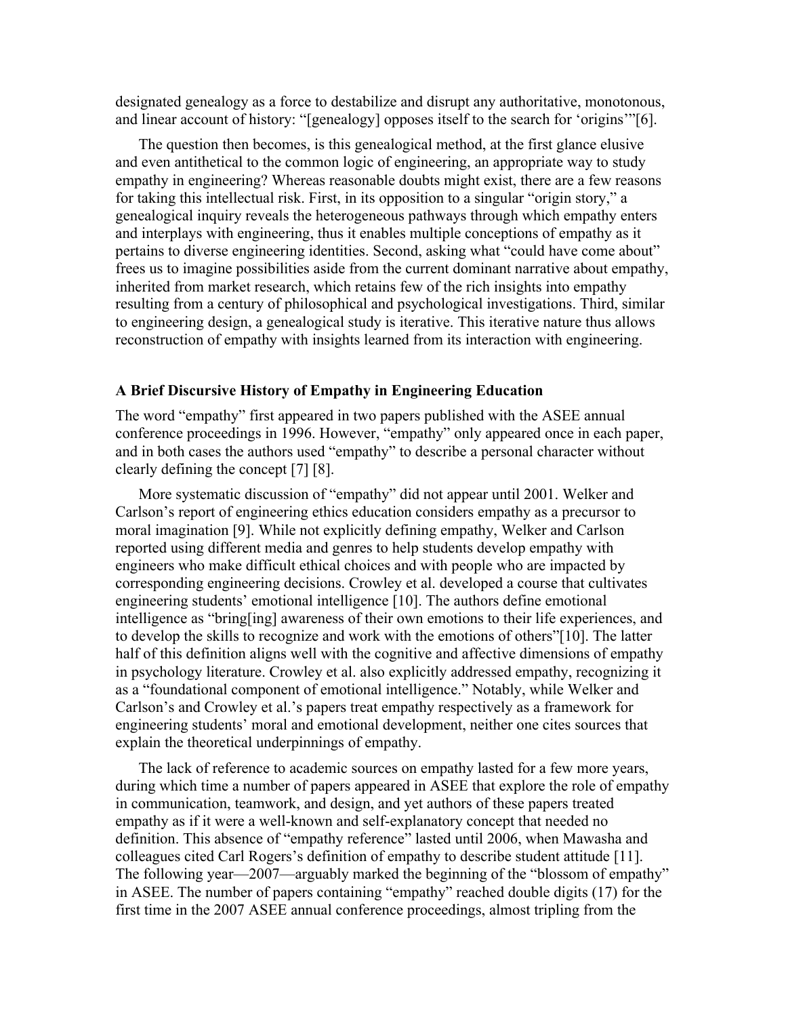designated genealogy as a force to destabilize and disrupt any authoritative, monotonous, and linear account of history: "[genealogy] opposes itself to the search for 'origins'"[6].

The question then becomes, is this genealogical method, at the first glance elusive and even antithetical to the common logic of engineering, an appropriate way to study empathy in engineering? Whereas reasonable doubts might exist, there are a few reasons for taking this intellectual risk. First, in its opposition to a singular "origin story," a genealogical inquiry reveals the heterogeneous pathways through which empathy enters and interplays with engineering, thus it enables multiple conceptions of empathy as it pertains to diverse engineering identities. Second, asking what "could have come about" frees us to imagine possibilities aside from the current dominant narrative about empathy, inherited from market research, which retains few of the rich insights into empathy resulting from a century of philosophical and psychological investigations. Third, similar to engineering design, a genealogical study is iterative. This iterative nature thus allows reconstruction of empathy with insights learned from its interaction with engineering.

#### **A Brief Discursive History of Empathy in Engineering Education**

The word "empathy" first appeared in two papers published with the ASEE annual conference proceedings in 1996. However, "empathy" only appeared once in each paper, and in both cases the authors used "empathy" to describe a personal character without clearly defining the concept [7] [8].

More systematic discussion of "empathy" did not appear until 2001. Welker and Carlson's report of engineering ethics education considers empathy as a precursor to moral imagination [9]. While not explicitly defining empathy, Welker and Carlson reported using different media and genres to help students develop empathy with engineers who make difficult ethical choices and with people who are impacted by corresponding engineering decisions. Crowley et al. developed a course that cultivates engineering students' emotional intelligence [10]. The authors define emotional intelligence as "bring[ing] awareness of their own emotions to their life experiences, and to develop the skills to recognize and work with the emotions of others"[10]. The latter half of this definition aligns well with the cognitive and affective dimensions of empathy in psychology literature. Crowley et al. also explicitly addressed empathy, recognizing it as a "foundational component of emotional intelligence." Notably, while Welker and Carlson's and Crowley et al.'s papers treat empathy respectively as a framework for engineering students' moral and emotional development, neither one cites sources that explain the theoretical underpinnings of empathy.

The lack of reference to academic sources on empathy lasted for a few more years, during which time a number of papers appeared in ASEE that explore the role of empathy in communication, teamwork, and design, and yet authors of these papers treated empathy as if it were a well-known and self-explanatory concept that needed no definition. This absence of "empathy reference" lasted until 2006, when Mawasha and colleagues cited Carl Rogers's definition of empathy to describe student attitude [11]. The following year—2007—arguably marked the beginning of the "blossom of empathy" in ASEE. The number of papers containing "empathy" reached double digits (17) for the first time in the 2007 ASEE annual conference proceedings, almost tripling from the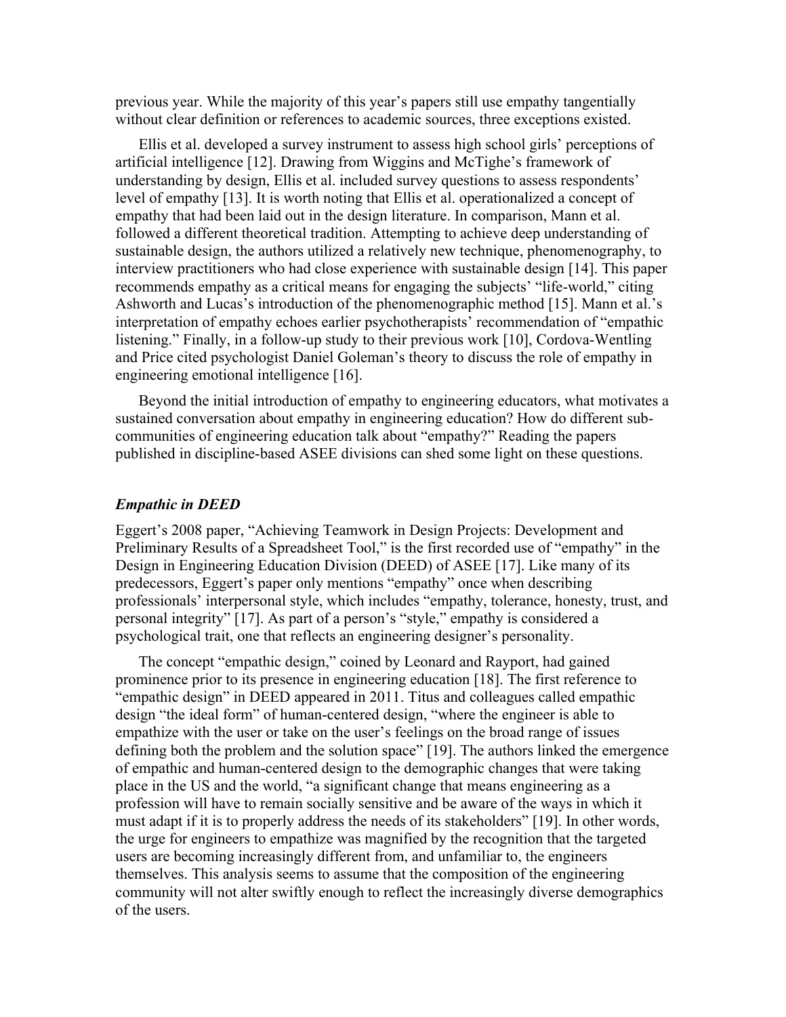previous year. While the majority of this year's papers still use empathy tangentially without clear definition or references to academic sources, three exceptions existed.

Ellis et al. developed a survey instrument to assess high school girls' perceptions of artificial intelligence [12]. Drawing from Wiggins and McTighe's framework of understanding by design, Ellis et al. included survey questions to assess respondents' level of empathy [13]. It is worth noting that Ellis et al. operationalized a concept of empathy that had been laid out in the design literature. In comparison, Mann et al. followed a different theoretical tradition. Attempting to achieve deep understanding of sustainable design, the authors utilized a relatively new technique, phenomenography, to interview practitioners who had close experience with sustainable design [14]. This paper recommends empathy as a critical means for engaging the subjects' "life-world," citing Ashworth and Lucas's introduction of the phenomenographic method [15]. Mann et al.'s interpretation of empathy echoes earlier psychotherapists' recommendation of "empathic listening." Finally, in a follow-up study to their previous work [10], Cordova-Wentling and Price cited psychologist Daniel Goleman's theory to discuss the role of empathy in engineering emotional intelligence [16].

Beyond the initial introduction of empathy to engineering educators, what motivates a sustained conversation about empathy in engineering education? How do different subcommunities of engineering education talk about "empathy?" Reading the papers published in discipline-based ASEE divisions can shed some light on these questions.

#### *Empathic in DEED*

Eggert's 2008 paper, "Achieving Teamwork in Design Projects: Development and Preliminary Results of a Spreadsheet Tool," is the first recorded use of "empathy" in the Design in Engineering Education Division (DEED) of ASEE [17]. Like many of its predecessors, Eggert's paper only mentions "empathy" once when describing professionals' interpersonal style, which includes "empathy, tolerance, honesty, trust, and personal integrity" [17]. As part of a person's "style," empathy is considered a psychological trait, one that reflects an engineering designer's personality.

The concept "empathic design," coined by Leonard and Rayport, had gained prominence prior to its presence in engineering education [18]. The first reference to "empathic design" in DEED appeared in 2011. Titus and colleagues called empathic design "the ideal form" of human-centered design, "where the engineer is able to empathize with the user or take on the user's feelings on the broad range of issues defining both the problem and the solution space" [19]. The authors linked the emergence of empathic and human-centered design to the demographic changes that were taking place in the US and the world, "a significant change that means engineering as a profession will have to remain socially sensitive and be aware of the ways in which it must adapt if it is to properly address the needs of its stakeholders" [19]. In other words, the urge for engineers to empathize was magnified by the recognition that the targeted users are becoming increasingly different from, and unfamiliar to, the engineers themselves. This analysis seems to assume that the composition of the engineering community will not alter swiftly enough to reflect the increasingly diverse demographics of the users.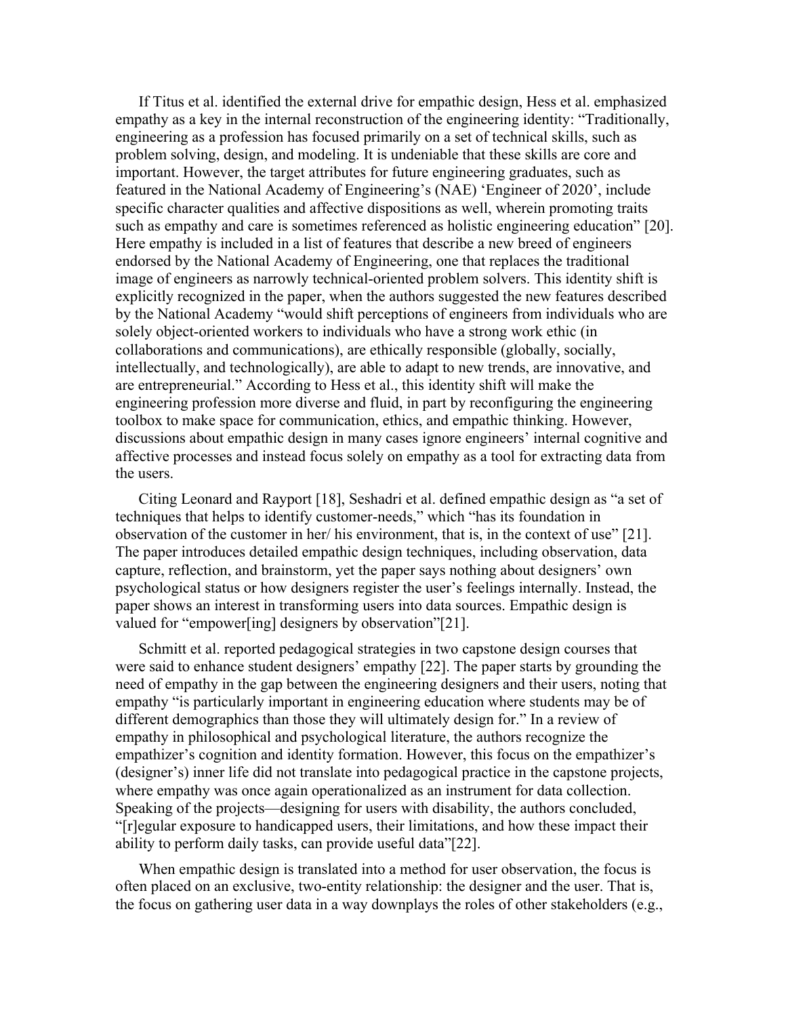If Titus et al. identified the external drive for empathic design, Hess et al. emphasized empathy as a key in the internal reconstruction of the engineering identity: "Traditionally, engineering as a profession has focused primarily on a set of technical skills, such as problem solving, design, and modeling. It is undeniable that these skills are core and important. However, the target attributes for future engineering graduates, such as featured in the National Academy of Engineering's (NAE) 'Engineer of 2020', include specific character qualities and affective dispositions as well, wherein promoting traits such as empathy and care is sometimes referenced as holistic engineering education" [20]. Here empathy is included in a list of features that describe a new breed of engineers endorsed by the National Academy of Engineering, one that replaces the traditional image of engineers as narrowly technical-oriented problem solvers. This identity shift is explicitly recognized in the paper, when the authors suggested the new features described by the National Academy "would shift perceptions of engineers from individuals who are solely object-oriented workers to individuals who have a strong work ethic (in collaborations and communications), are ethically responsible (globally, socially, intellectually, and technologically), are able to adapt to new trends, are innovative, and are entrepreneurial." According to Hess et al., this identity shift will make the engineering profession more diverse and fluid, in part by reconfiguring the engineering toolbox to make space for communication, ethics, and empathic thinking. However, discussions about empathic design in many cases ignore engineers' internal cognitive and affective processes and instead focus solely on empathy as a tool for extracting data from the users.

Citing Leonard and Rayport [18], Seshadri et al. defined empathic design as "a set of techniques that helps to identify customer-needs," which "has its foundation in observation of the customer in her/ his environment, that is, in the context of use" [21]. The paper introduces detailed empathic design techniques, including observation, data capture, reflection, and brainstorm, yet the paper says nothing about designers' own psychological status or how designers register the user's feelings internally. Instead, the paper shows an interest in transforming users into data sources. Empathic design is valued for "empower[ing] designers by observation"[21].

Schmitt et al. reported pedagogical strategies in two capstone design courses that were said to enhance student designers' empathy [22]. The paper starts by grounding the need of empathy in the gap between the engineering designers and their users, noting that empathy "is particularly important in engineering education where students may be of different demographics than those they will ultimately design for." In a review of empathy in philosophical and psychological literature, the authors recognize the empathizer's cognition and identity formation. However, this focus on the empathizer's (designer's) inner life did not translate into pedagogical practice in the capstone projects, where empathy was once again operationalized as an instrument for data collection. Speaking of the projects—designing for users with disability, the authors concluded, "[r]egular exposure to handicapped users, their limitations, and how these impact their ability to perform daily tasks, can provide useful data"[22].

When empathic design is translated into a method for user observation, the focus is often placed on an exclusive, two-entity relationship: the designer and the user. That is, the focus on gathering user data in a way downplays the roles of other stakeholders (e.g.,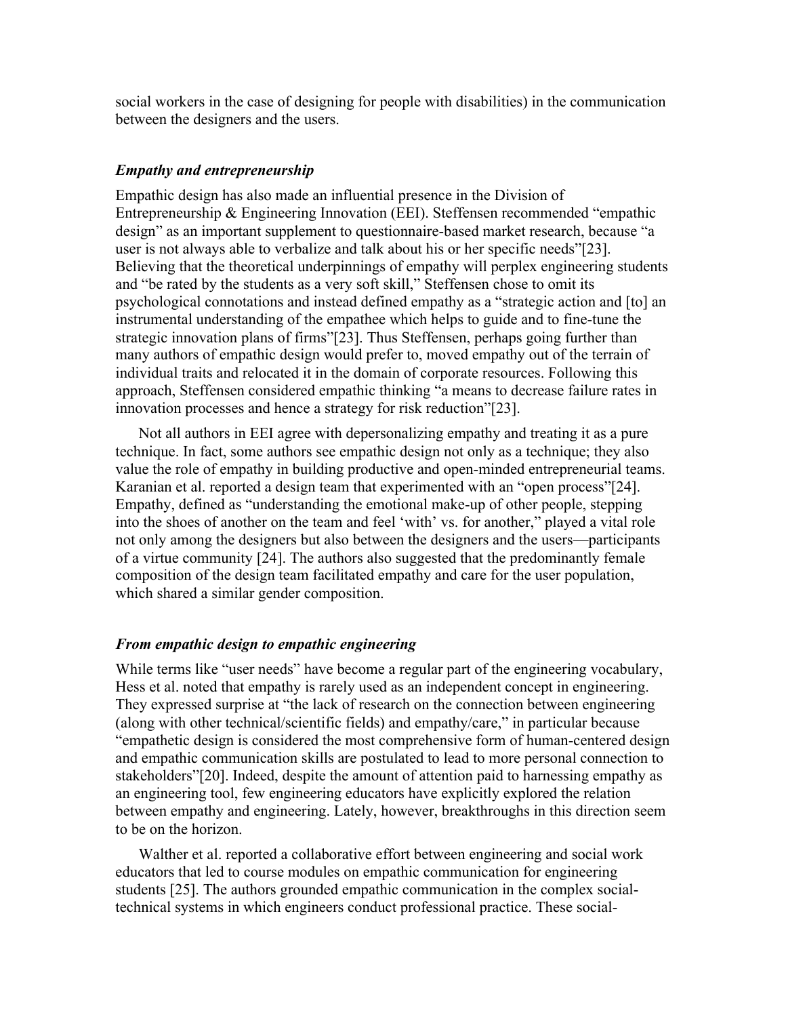social workers in the case of designing for people with disabilities) in the communication between the designers and the users.

#### *Empathy and entrepreneurship*

Empathic design has also made an influential presence in the Division of Entrepreneurship & Engineering Innovation (EEI). Steffensen recommended "empathic design" as an important supplement to questionnaire-based market research, because "a user is not always able to verbalize and talk about his or her specific needs"[23]. Believing that the theoretical underpinnings of empathy will perplex engineering students and "be rated by the students as a very soft skill," Steffensen chose to omit its psychological connotations and instead defined empathy as a "strategic action and [to] an instrumental understanding of the empathee which helps to guide and to fine-tune the strategic innovation plans of firms"[23]. Thus Steffensen, perhaps going further than many authors of empathic design would prefer to, moved empathy out of the terrain of individual traits and relocated it in the domain of corporate resources. Following this approach, Steffensen considered empathic thinking "a means to decrease failure rates in innovation processes and hence a strategy for risk reduction"[23].

Not all authors in EEI agree with depersonalizing empathy and treating it as a pure technique. In fact, some authors see empathic design not only as a technique; they also value the role of empathy in building productive and open-minded entrepreneurial teams. Karanian et al. reported a design team that experimented with an "open process"[24]. Empathy, defined as "understanding the emotional make-up of other people, stepping into the shoes of another on the team and feel 'with' vs. for another," played a vital role not only among the designers but also between the designers and the users—participants of a virtue community [24]. The authors also suggested that the predominantly female composition of the design team facilitated empathy and care for the user population, which shared a similar gender composition.

#### *From empathic design to empathic engineering*

While terms like "user needs" have become a regular part of the engineering vocabulary, Hess et al. noted that empathy is rarely used as an independent concept in engineering. They expressed surprise at "the lack of research on the connection between engineering (along with other technical/scientific fields) and empathy/care," in particular because "empathetic design is considered the most comprehensive form of human-centered design and empathic communication skills are postulated to lead to more personal connection to stakeholders"[20]. Indeed, despite the amount of attention paid to harnessing empathy as an engineering tool, few engineering educators have explicitly explored the relation between empathy and engineering. Lately, however, breakthroughs in this direction seem to be on the horizon.

Walther et al. reported a collaborative effort between engineering and social work educators that led to course modules on empathic communication for engineering students [25]. The authors grounded empathic communication in the complex socialtechnical systems in which engineers conduct professional practice. These social-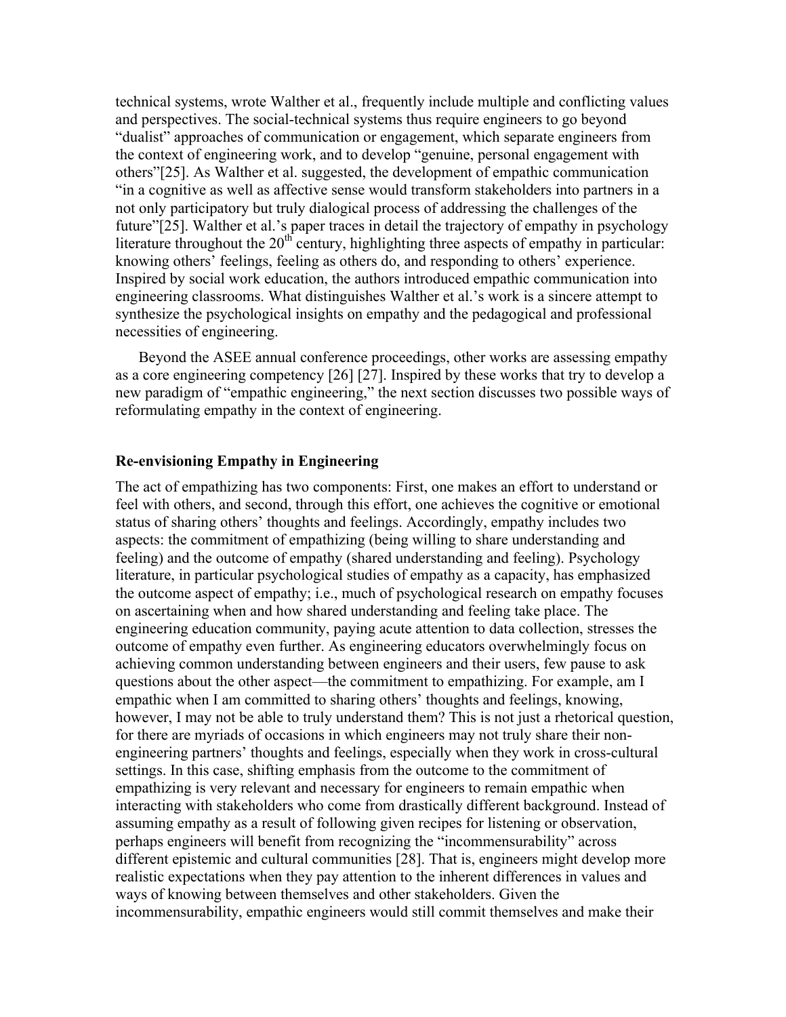technical systems, wrote Walther et al., frequently include multiple and conflicting values and perspectives. The social-technical systems thus require engineers to go beyond "dualist" approaches of communication or engagement, which separate engineers from the context of engineering work, and to develop "genuine, personal engagement with others"[25]. As Walther et al. suggested, the development of empathic communication "in a cognitive as well as affective sense would transform stakeholders into partners in a not only participatory but truly dialogical process of addressing the challenges of the future"[25]. Walther et al.'s paper traces in detail the trajectory of empathy in psychology literature throughout the  $20<sup>th</sup>$  century, highlighting three aspects of empathy in particular: knowing others' feelings, feeling as others do, and responding to others' experience. Inspired by social work education, the authors introduced empathic communication into engineering classrooms. What distinguishes Walther et al.'s work is a sincere attempt to synthesize the psychological insights on empathy and the pedagogical and professional necessities of engineering.

Beyond the ASEE annual conference proceedings, other works are assessing empathy as a core engineering competency [26] [27]. Inspired by these works that try to develop a new paradigm of "empathic engineering," the next section discusses two possible ways of reformulating empathy in the context of engineering.

#### **Re-envisioning Empathy in Engineering**

The act of empathizing has two components: First, one makes an effort to understand or feel with others, and second, through this effort, one achieves the cognitive or emotional status of sharing others' thoughts and feelings. Accordingly, empathy includes two aspects: the commitment of empathizing (being willing to share understanding and feeling) and the outcome of empathy (shared understanding and feeling). Psychology literature, in particular psychological studies of empathy as a capacity, has emphasized the outcome aspect of empathy; i.e., much of psychological research on empathy focuses on ascertaining when and how shared understanding and feeling take place. The engineering education community, paying acute attention to data collection, stresses the outcome of empathy even further. As engineering educators overwhelmingly focus on achieving common understanding between engineers and their users, few pause to ask questions about the other aspect—the commitment to empathizing. For example, am I empathic when I am committed to sharing others' thoughts and feelings, knowing, however, I may not be able to truly understand them? This is not just a rhetorical question, for there are myriads of occasions in which engineers may not truly share their nonengineering partners' thoughts and feelings, especially when they work in cross-cultural settings. In this case, shifting emphasis from the outcome to the commitment of empathizing is very relevant and necessary for engineers to remain empathic when interacting with stakeholders who come from drastically different background. Instead of assuming empathy as a result of following given recipes for listening or observation, perhaps engineers will benefit from recognizing the "incommensurability" across different epistemic and cultural communities [28]. That is, engineers might develop more realistic expectations when they pay attention to the inherent differences in values and ways of knowing between themselves and other stakeholders. Given the incommensurability, empathic engineers would still commit themselves and make their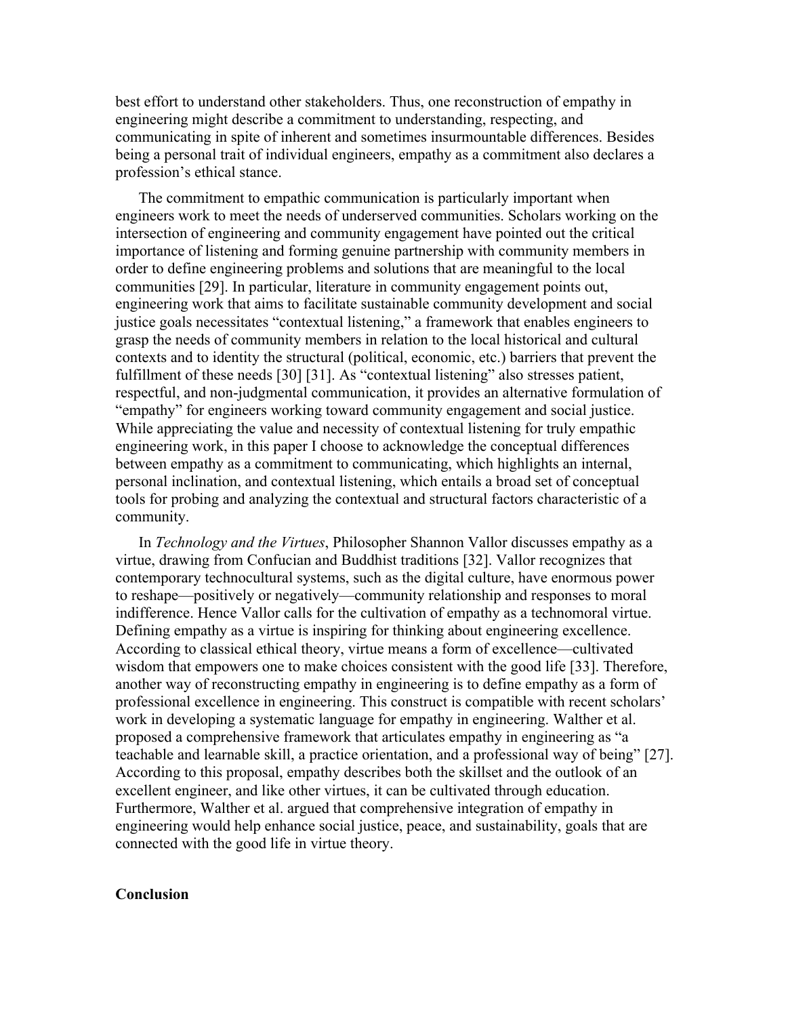best effort to understand other stakeholders. Thus, one reconstruction of empathy in engineering might describe a commitment to understanding, respecting, and communicating in spite of inherent and sometimes insurmountable differences. Besides being a personal trait of individual engineers, empathy as a commitment also declares a profession's ethical stance.

The commitment to empathic communication is particularly important when engineers work to meet the needs of underserved communities. Scholars working on the intersection of engineering and community engagement have pointed out the critical importance of listening and forming genuine partnership with community members in order to define engineering problems and solutions that are meaningful to the local communities [29]. In particular, literature in community engagement points out, engineering work that aims to facilitate sustainable community development and social justice goals necessitates "contextual listening," a framework that enables engineers to grasp the needs of community members in relation to the local historical and cultural contexts and to identity the structural (political, economic, etc.) barriers that prevent the fulfillment of these needs [30] [31]. As "contextual listening" also stresses patient, respectful, and non-judgmental communication, it provides an alternative formulation of "empathy" for engineers working toward community engagement and social justice. While appreciating the value and necessity of contextual listening for truly empathic engineering work, in this paper I choose to acknowledge the conceptual differences between empathy as a commitment to communicating, which highlights an internal, personal inclination, and contextual listening, which entails a broad set of conceptual tools for probing and analyzing the contextual and structural factors characteristic of a community.

In *Technology and the Virtues*, Philosopher Shannon Vallor discusses empathy as a virtue, drawing from Confucian and Buddhist traditions [32]. Vallor recognizes that contemporary technocultural systems, such as the digital culture, have enormous power to reshape—positively or negatively—community relationship and responses to moral indifference. Hence Vallor calls for the cultivation of empathy as a technomoral virtue. Defining empathy as a virtue is inspiring for thinking about engineering excellence. According to classical ethical theory, virtue means a form of excellence—cultivated wisdom that empowers one to make choices consistent with the good life [33]. Therefore, another way of reconstructing empathy in engineering is to define empathy as a form of professional excellence in engineering. This construct is compatible with recent scholars' work in developing a systematic language for empathy in engineering. Walther et al. proposed a comprehensive framework that articulates empathy in engineering as "a teachable and learnable skill, a practice orientation, and a professional way of being" [27]. According to this proposal, empathy describes both the skillset and the outlook of an excellent engineer, and like other virtues, it can be cultivated through education. Furthermore, Walther et al. argued that comprehensive integration of empathy in engineering would help enhance social justice, peace, and sustainability, goals that are connected with the good life in virtue theory.

#### **Conclusion**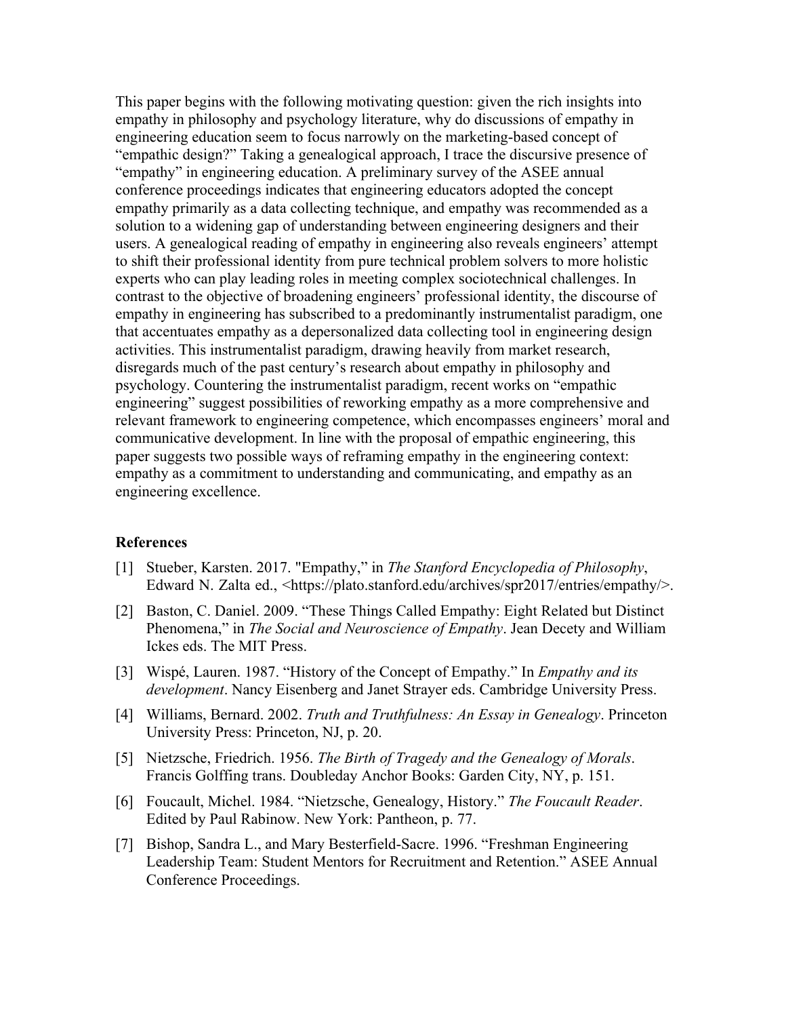This paper begins with the following motivating question: given the rich insights into empathy in philosophy and psychology literature, why do discussions of empathy in engineering education seem to focus narrowly on the marketing-based concept of "empathic design?" Taking a genealogical approach, I trace the discursive presence of "empathy" in engineering education. A preliminary survey of the ASEE annual conference proceedings indicates that engineering educators adopted the concept empathy primarily as a data collecting technique, and empathy was recommended as a solution to a widening gap of understanding between engineering designers and their users. A genealogical reading of empathy in engineering also reveals engineers' attempt to shift their professional identity from pure technical problem solvers to more holistic experts who can play leading roles in meeting complex sociotechnical challenges. In contrast to the objective of broadening engineers' professional identity, the discourse of empathy in engineering has subscribed to a predominantly instrumentalist paradigm, one that accentuates empathy as a depersonalized data collecting tool in engineering design activities. This instrumentalist paradigm, drawing heavily from market research, disregards much of the past century's research about empathy in philosophy and psychology. Countering the instrumentalist paradigm, recent works on "empathic engineering" suggest possibilities of reworking empathy as a more comprehensive and relevant framework to engineering competence, which encompasses engineers' moral and communicative development. In line with the proposal of empathic engineering, this paper suggests two possible ways of reframing empathy in the engineering context: empathy as a commitment to understanding and communicating, and empathy as an engineering excellence.

#### **References**

- [1] Stueber, Karsten. 2017. "Empathy," in *The Stanford Encyclopedia of Philosophy*, Edward N. Zalta ed., <https://plato.stanford.edu/archives/spr2017/entries/empathy/>.
- [2] Baston, C. Daniel. 2009. "These Things Called Empathy: Eight Related but Distinct Phenomena," in *The Social and Neuroscience of Empathy*. Jean Decety and William Ickes eds. The MIT Press.
- [3] Wispé, Lauren. 1987. "History of the Concept of Empathy." In *Empathy and its development*. Nancy Eisenberg and Janet Strayer eds. Cambridge University Press.
- [4] Williams, Bernard. 2002. *Truth and Truthfulness: An Essay in Genealogy*. Princeton University Press: Princeton, NJ, p. 20.
- [5] Nietzsche, Friedrich. 1956. *The Birth of Tragedy and the Genealogy of Morals*. Francis Golffing trans. Doubleday Anchor Books: Garden City, NY, p. 151.
- [6] Foucault, Michel. 1984. "Nietzsche, Genealogy, History." *The Foucault Reader*. Edited by Paul Rabinow. New York: Pantheon, p. 77.
- [7] Bishop, Sandra L., and Mary Besterfield-Sacre. 1996. "Freshman Engineering Leadership Team: Student Mentors for Recruitment and Retention." ASEE Annual Conference Proceedings.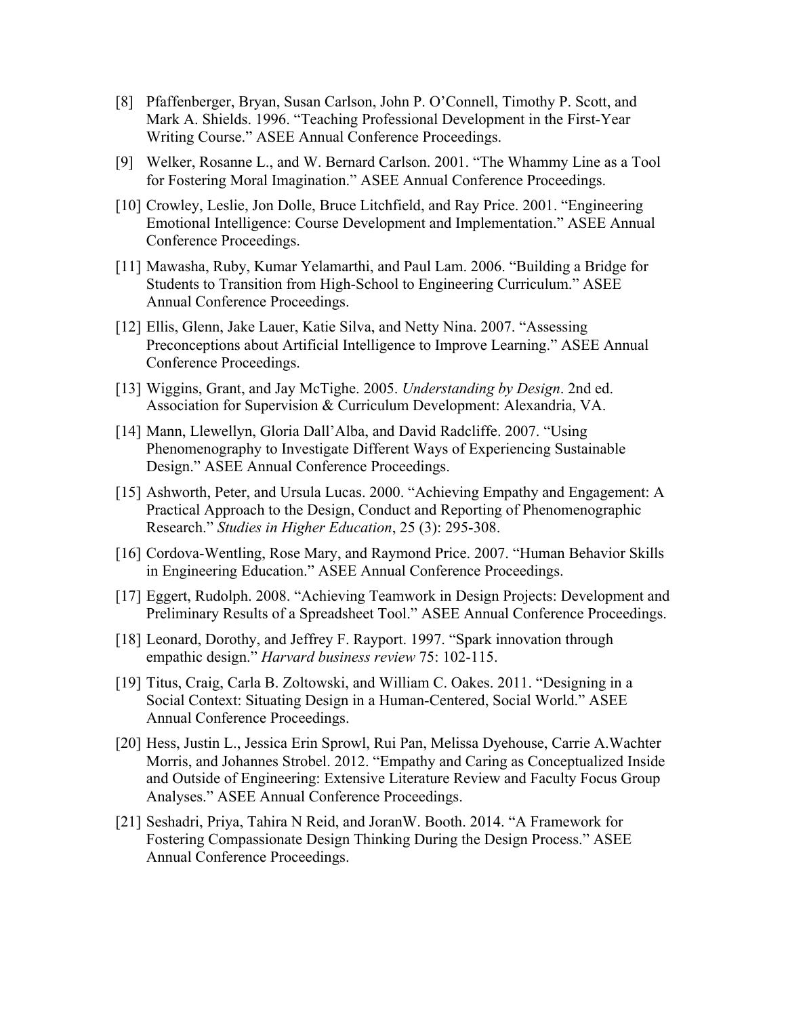- [8] Pfaffenberger, Bryan, Susan Carlson, John P. O'Connell, Timothy P. Scott, and Mark A. Shields. 1996. "Teaching Professional Development in the First-Year Writing Course." ASEE Annual Conference Proceedings.
- [9] Welker, Rosanne L., and W. Bernard Carlson. 2001. "The Whammy Line as a Tool for Fostering Moral Imagination." ASEE Annual Conference Proceedings.
- [10] Crowley, Leslie, Jon Dolle, Bruce Litchfield, and Ray Price. 2001. "Engineering Emotional Intelligence: Course Development and Implementation." ASEE Annual Conference Proceedings.
- [11] Mawasha, Ruby, Kumar Yelamarthi, and Paul Lam. 2006. "Building a Bridge for Students to Transition from High-School to Engineering Curriculum." ASEE Annual Conference Proceedings.
- [12] Ellis, Glenn, Jake Lauer, Katie Silva, and Netty Nina. 2007. "Assessing Preconceptions about Artificial Intelligence to Improve Learning." ASEE Annual Conference Proceedings.
- [13] Wiggins, Grant, and Jay McTighe. 2005. *Understanding by Design*. 2nd ed. Association for Supervision & Curriculum Development: Alexandria, VA.
- [14] Mann, Llewellyn, Gloria Dall'Alba, and David Radcliffe. 2007. "Using Phenomenography to Investigate Different Ways of Experiencing Sustainable Design." ASEE Annual Conference Proceedings.
- [15] Ashworth, Peter, and Ursula Lucas. 2000. "Achieving Empathy and Engagement: A Practical Approach to the Design, Conduct and Reporting of Phenomenographic Research." *Studies in Higher Education*, 25 (3): 295-308.
- [16] Cordova-Wentling, Rose Mary, and Raymond Price. 2007. "Human Behavior Skills in Engineering Education." ASEE Annual Conference Proceedings.
- [17] Eggert, Rudolph. 2008. "Achieving Teamwork in Design Projects: Development and Preliminary Results of a Spreadsheet Tool." ASEE Annual Conference Proceedings.
- [18] Leonard, Dorothy, and Jeffrey F. Rayport. 1997. "Spark innovation through empathic design." *Harvard business review* 75: 102-115.
- [19] Titus, Craig, Carla B. Zoltowski, and William C. Oakes. 2011. "Designing in a Social Context: Situating Design in a Human-Centered, Social World." ASEE Annual Conference Proceedings.
- [20] Hess, Justin L., Jessica Erin Sprowl, Rui Pan, Melissa Dyehouse, Carrie A.Wachter Morris, and Johannes Strobel. 2012. "Empathy and Caring as Conceptualized Inside and Outside of Engineering: Extensive Literature Review and Faculty Focus Group Analyses." ASEE Annual Conference Proceedings.
- [21] Seshadri, Priya, Tahira N Reid, and JoranW. Booth. 2014. "A Framework for Fostering Compassionate Design Thinking During the Design Process." ASEE Annual Conference Proceedings.